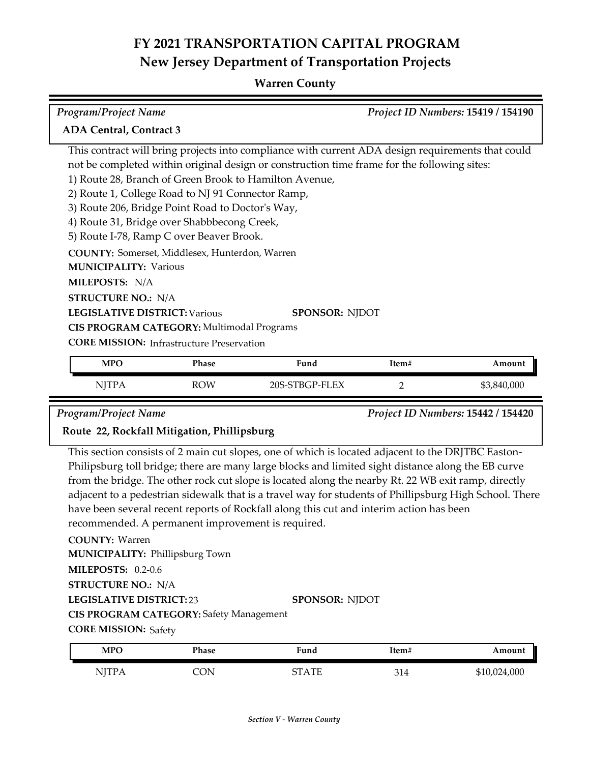#### **Warren County**

| <b>Program/Project Name</b>                            |                                          |                       | Project ID Numbers: 15419 / 154190                                                                |        |  |  |
|--------------------------------------------------------|------------------------------------------|-----------------------|---------------------------------------------------------------------------------------------------|--------|--|--|
| <b>ADA Central, Contract 3</b>                         |                                          |                       |                                                                                                   |        |  |  |
|                                                        |                                          |                       | This contract will bring projects into compliance with current ADA design requirements that could |        |  |  |
|                                                        |                                          |                       | not be completed within original design or construction time frame for the following sites:       |        |  |  |
| 1) Route 28, Branch of Green Brook to Hamilton Avenue, |                                          |                       |                                                                                                   |        |  |  |
| 2) Route 1, College Road to NJ 91 Connector Ramp,      |                                          |                       |                                                                                                   |        |  |  |
| 3) Route 206, Bridge Point Road to Doctor's Way,       |                                          |                       |                                                                                                   |        |  |  |
| 4) Route 31, Bridge over Shabbbecong Creek,            |                                          |                       |                                                                                                   |        |  |  |
|                                                        | 5) Route I-78, Ramp C over Beaver Brook. |                       |                                                                                                   |        |  |  |
| <b>COUNTY:</b> Somerset, Middlesex, Hunterdon, Warren  |                                          |                       |                                                                                                   |        |  |  |
| <b>MUNICIPALITY: Various</b>                           |                                          |                       |                                                                                                   |        |  |  |
| <b>MILEPOSTS: N/A</b>                                  |                                          |                       |                                                                                                   |        |  |  |
| <b>STRUCTURE NO.: N/A</b>                              |                                          |                       |                                                                                                   |        |  |  |
| <b>LEGISLATIVE DISTRICT: Various</b>                   |                                          | <b>SPONSOR: NJDOT</b> |                                                                                                   |        |  |  |
| CIS PROGRAM CATEGORY: Multimodal Programs              |                                          |                       |                                                                                                   |        |  |  |
| <b>CORE MISSION:</b> Infrastructure Preservation       |                                          |                       |                                                                                                   |        |  |  |
| <b>MPO</b>                                             | Phase                                    | Fund                  | Item#                                                                                             | Amount |  |  |

| <b>MPC</b>   | Phase      | Fund           | Item# | Amount      |
|--------------|------------|----------------|-------|-------------|
| <b>NJTPA</b> | <b>ROW</b> | 20S-STBGP-FLEX | -     | \$3,840,000 |

*Program/Project Name Project ID Numbers:* **15442 / 154420**

#### **Route 22, Rockfall Mitigation, Phillipsburg**

This section consists of 2 main cut slopes, one of which is located adjacent to the DRJTBC Easton-Philipsburg toll bridge; there are many large blocks and limited sight distance along the EB curve from the bridge. The other rock cut slope is located along the nearby Rt. 22 WB exit ramp, directly adjacent to a pedestrian sidewalk that is a travel way for students of Phillipsburg High School. There have been several recent reports of Rockfall along this cut and interim action has been recommended. A permanent improvement is required.

**COUNTY:** Warren

**MUNICIPALITY: Phillipsburg Town** 

**MILEPOSTS:** 0.2-0.6

**STRUCTURE NO.:** N/A

**LEGISLATIVE DISTRICT:** 23

**SPONSOR:** NJDOT

**CIS PROGRAM CATEGORY:** Safety Management

**CORE MISSION: Safety** 

| <b>MPO</b> | Phase  | Fund    | !tem#           | Amount       |
|------------|--------|---------|-----------------|--------------|
| NITP A     | $\cup$ | CT A TE | 21 <sub>1</sub> | \$10,024,000 |
| 1 1 1      | ັ      | ט בר    | 514             |              |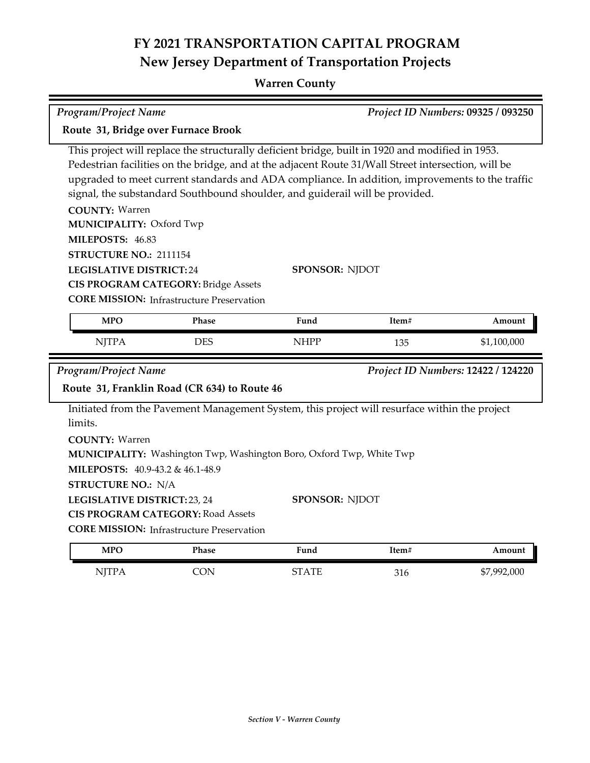## **Warren County**

|                                     | <b>Program/Project Name</b>                                                                   |                                                                                                                                                                                                                                                                                                                                                                                            |                       | Project ID Numbers: 09325 / 093250 |                                    |  |
|-------------------------------------|-----------------------------------------------------------------------------------------------|--------------------------------------------------------------------------------------------------------------------------------------------------------------------------------------------------------------------------------------------------------------------------------------------------------------------------------------------------------------------------------------------|-----------------------|------------------------------------|------------------------------------|--|
| Route 31, Bridge over Furnace Brook |                                                                                               |                                                                                                                                                                                                                                                                                                                                                                                            |                       |                                    |                                    |  |
|                                     | <b>COUNTY: Warren</b><br>MUNICIPALITY: Oxford Twp<br>MILEPOSTS: 46.83                         | This project will replace the structurally deficient bridge, built in 1920 and modified in 1953.<br>Pedestrian facilities on the bridge, and at the adjacent Route 31/Wall Street intersection, will be<br>upgraded to meet current standards and ADA compliance. In addition, improvements to the traffic<br>signal, the substandard Southbound shoulder, and guiderail will be provided. |                       |                                    |                                    |  |
|                                     | STRUCTURE NO.: 2111154<br><b>LEGISLATIVE DISTRICT:24</b>                                      | <b>CIS PROGRAM CATEGORY: Bridge Assets</b><br><b>CORE MISSION:</b> Infrastructure Preservation                                                                                                                                                                                                                                                                                             | <b>SPONSOR: NJDOT</b> |                                    |                                    |  |
|                                     | <b>MPO</b>                                                                                    | Phase                                                                                                                                                                                                                                                                                                                                                                                      | Fund                  | Item#                              | Amount                             |  |
|                                     | <b>NJTPA</b>                                                                                  | <b>DES</b>                                                                                                                                                                                                                                                                                                                                                                                 | <b>NHPP</b>           | 135                                | \$1,100,000                        |  |
|                                     | <b>Program/Project Name</b>                                                                   | Route 31, Franklin Road (CR 634) to Route 46                                                                                                                                                                                                                                                                                                                                               |                       |                                    | Project ID Numbers: 12422 / 124220 |  |
|                                     | limits.<br><b>COUNTY: Warren</b><br><b>STRUCTURE NO.: N/A</b><br>LEGISLATIVE DISTRICT: 23, 24 | Initiated from the Pavement Management System, this project will resurface within the project<br>MUNICIPALITY: Washington Twp, Washington Boro, Oxford Twp, White Twp<br>MILEPOSTS: 40.9-43.2 & 46.1-48.9<br><b>CIS PROGRAM CATEGORY: Road Assets</b><br><b>CORE MISSION:</b> Infrastructure Preservation                                                                                  | <b>SPONSOR: NJDOT</b> |                                    |                                    |  |
|                                     | <b>MPO</b>                                                                                    | Phase                                                                                                                                                                                                                                                                                                                                                                                      | Fund                  | Item#                              | Amount                             |  |

NJTPA CON STATE 316 \$7,992,000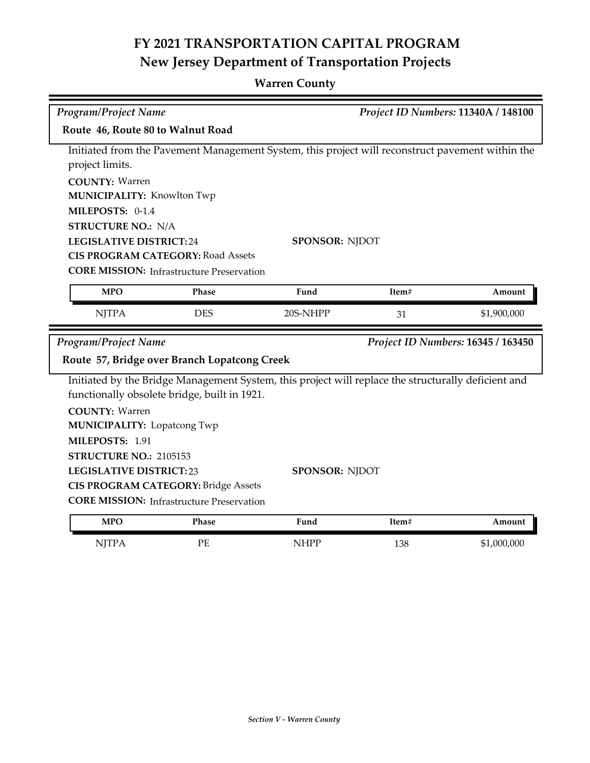## **Warren County**

| Project ID Numbers: 11340A / 148100<br><b>Program/Project Name</b>                               |                                                  |                                                                                                     |       |                                    |  |  |  |
|--------------------------------------------------------------------------------------------------|--------------------------------------------------|-----------------------------------------------------------------------------------------------------|-------|------------------------------------|--|--|--|
| Route 46, Route 80 to Walnut Road                                                                |                                                  |                                                                                                     |       |                                    |  |  |  |
| Initiated from the Pavement Management System, this project will reconstruct pavement within the |                                                  |                                                                                                     |       |                                    |  |  |  |
| project limits.                                                                                  |                                                  |                                                                                                     |       |                                    |  |  |  |
| <b>COUNTY: Warren</b>                                                                            |                                                  |                                                                                                     |       |                                    |  |  |  |
|                                                                                                  | <b>MUNICIPALITY: Knowlton Twp</b>                |                                                                                                     |       |                                    |  |  |  |
| MILEPOSTS: 0-1.4                                                                                 |                                                  |                                                                                                     |       |                                    |  |  |  |
| <b>STRUCTURE NO.: N/A</b>                                                                        |                                                  |                                                                                                     |       |                                    |  |  |  |
| <b>LEGISLATIVE DISTRICT:24</b>                                                                   |                                                  | <b>SPONSOR: NJDOT</b>                                                                               |       |                                    |  |  |  |
|                                                                                                  | <b>CIS PROGRAM CATEGORY: Road Assets</b>         |                                                                                                     |       |                                    |  |  |  |
|                                                                                                  | <b>CORE MISSION:</b> Infrastructure Preservation |                                                                                                     |       |                                    |  |  |  |
| <b>MPO</b>                                                                                       | Phase                                            | Fund                                                                                                | Item# | Amount                             |  |  |  |
| <b>NJTPA</b>                                                                                     | <b>DES</b>                                       | 20S-NHPP                                                                                            | 31    | \$1,900,000                        |  |  |  |
|                                                                                                  |                                                  |                                                                                                     |       |                                    |  |  |  |
| Program/Project Name                                                                             |                                                  |                                                                                                     |       | Project ID Numbers: 16345 / 163450 |  |  |  |
|                                                                                                  | Route 57, Bridge over Branch Lopatcong Creek     |                                                                                                     |       |                                    |  |  |  |
|                                                                                                  |                                                  | Initiated by the Bridge Management System, this project will replace the structurally deficient and |       |                                    |  |  |  |
|                                                                                                  | functionally obsolete bridge, built in 1921.     |                                                                                                     |       |                                    |  |  |  |
| <b>COUNTY: Warren</b>                                                                            |                                                  |                                                                                                     |       |                                    |  |  |  |
| <b>MUNICIPALITY: Lopatcong Twp</b>                                                               |                                                  |                                                                                                     |       |                                    |  |  |  |
| MILEPOSTS: 1.91                                                                                  |                                                  |                                                                                                     |       |                                    |  |  |  |
| STRUCTURE NO.: 2105153                                                                           |                                                  |                                                                                                     |       |                                    |  |  |  |
| <b>LEGISLATIVE DISTRICT:23</b>                                                                   |                                                  | <b>SPONSOR: NJDOT</b>                                                                               |       |                                    |  |  |  |
|                                                                                                  | <b>CIS PROGRAM CATEGORY: Bridge Assets</b>       |                                                                                                     |       |                                    |  |  |  |
|                                                                                                  | <b>CORE MISSION: Infrastructure Preservation</b> |                                                                                                     |       |                                    |  |  |  |
| <b>MPO</b>                                                                                       | Phase                                            | Fund                                                                                                | Item# | Amount                             |  |  |  |